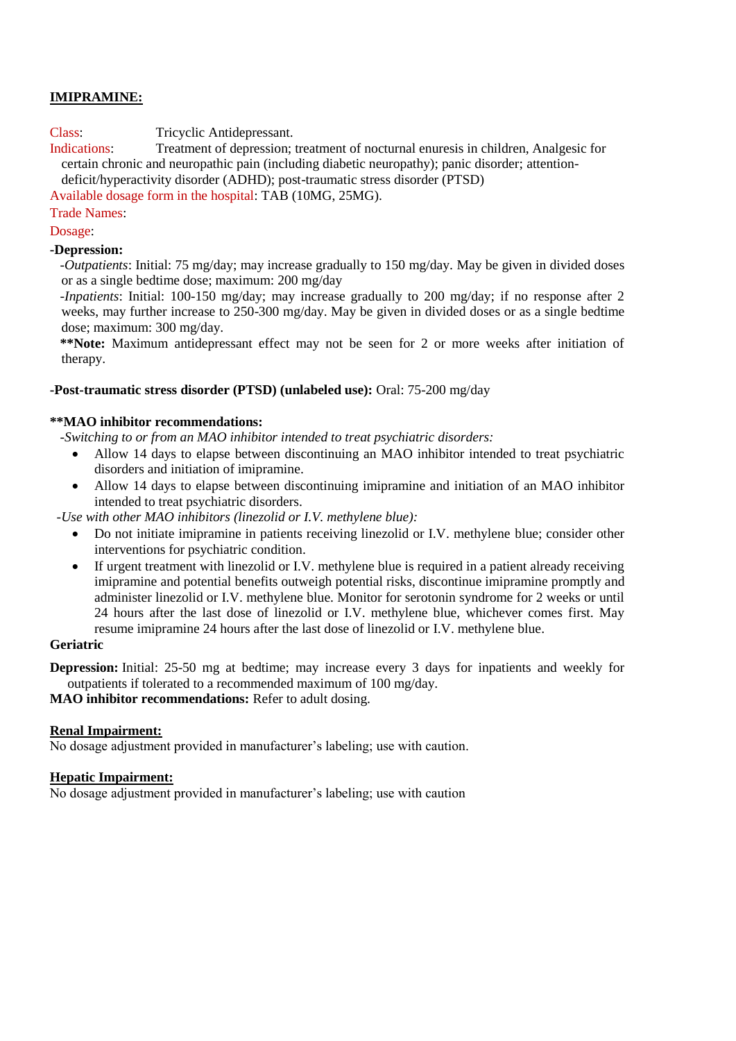# **IMIPRAMINE:**

Class: Tricyclic Antidepressant.

Indications: Treatment of depression; treatment of nocturnal enuresis in children, Analgesic for certain chronic and neuropathic pain (including diabetic neuropathy); panic disorder; attentiondeficit/hyperactivity disorder (ADHD); post-traumatic stress disorder (PTSD)

Available dosage form in the hospital: TAB (10MG, 25MG).

# Trade Names:

Dosage:

## **-Depression:**

 *-Outpatients*: Initial: 75 mg/day; may increase gradually to 150 mg/day. May be given in divided doses or as a single bedtime dose; maximum: 200 mg/day

 *-Inpatients*: Initial: 100-150 mg/day; may increase gradually to 200 mg/day; if no response after 2 weeks, may further increase to 250-300 mg/day. May be given in divided doses or as a single bedtime dose; maximum: 300 mg/day.

 **\*\*Note:** Maximum antidepressant effect may not be seen for 2 or more weeks after initiation of therapy.

## **-Post-traumatic stress disorder (PTSD) (unlabeled use):** Oral: 75-200 mg/day

## **\*\*MAO inhibitor recommendations:**

 *-Switching to or from an MAO inhibitor intended to treat psychiatric disorders:*

- Allow 14 days to elapse between discontinuing an MAO inhibitor intended to treat psychiatric disorders and initiation of imipramine.
- Allow 14 days to elapse between discontinuing imipramine and initiation of an MAO inhibitor intended to treat psychiatric disorders.

 *-Use with other MAO inhibitors (linezolid or I.V. methylene blue):* 

- Do not initiate imipramine in patients receiving linezolid or I.V. methylene blue; consider other interventions for psychiatric condition.
- If urgent treatment with linezolid or I.V. methylene blue is required in a patient already receiving imipramine and potential benefits outweigh potential risks, discontinue imipramine promptly and administer linezolid or I.V. methylene blue. Monitor for serotonin syndrome for 2 weeks or until 24 hours after the last dose of linezolid or I.V. methylene blue, whichever comes first. May resume imipramine 24 hours after the last dose of linezolid or I.V. methylene blue.

#### **Geriatric**

**Depression:** Initial: 25-50 mg at bedtime; may increase every 3 days for inpatients and weekly for outpatients if tolerated to a recommended maximum of 100 mg/day.

**MAO inhibitor recommendations:** Refer to adult dosing.

#### **Renal Impairment:**

No dosage adjustment provided in manufacturer's labeling; use with caution.

#### **Hepatic Impairment:**

No dosage adjustment provided in manufacturer's labeling; use with caution